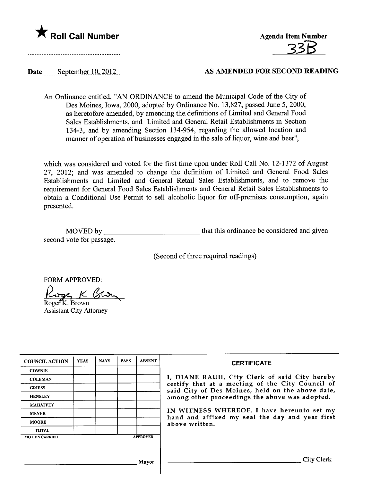

**Agenda Item Number** 

## Date September 10, 2012 AS AMENDED FOR SECOND READING

An Ordinance entitled, "AN ORDINANCE to amend the Municipal Code of the City of Des Moines, Iowa, 2000, adopted by Ordinance No. 13,827, passed June 5, 2000, as heretofore amended, by amending the definitions of Limited and General Food Sales Establishments, and Limited and General Retail Establishments in Section 134-3, and by amending Section 134-954, regarding the allowed location and manner of operation of businesses engaged in the sale of liquor, wine and beer",

which was considered and voted for the first time upon under Roll Call No. 12-1372 of August 27, 2012; and was amended to change the definition of Limited and General Food Sales Establishments and Limited and General Retail Sales Establishments, and to remove the requirement for General Food Sales Establishments and General Retail Sales Establishments to obtain a Conditional Use Permit to sell alcoholic liquor for off-premises consumption, again presented.

| MOVED by                 | that this ordinance be considered and given |
|--------------------------|---------------------------------------------|
| second vote for passage. |                                             |

(Second of three required readings)

FORM APPROVED:

FORM APPROVED:<br><u>Roger</u> K BLD

Assistant City Attorney

| <b>COUNCIL ACTION</b> | <b>YEAS</b> | <b>NAYS</b> | <b>PASS</b> | <b>ABSENT</b>   | <b>CERTIFICATE</b>                                                                                   |
|-----------------------|-------------|-------------|-------------|-----------------|------------------------------------------------------------------------------------------------------|
| <b>COWNIE</b>         |             |             |             |                 |                                                                                                      |
| <b>COLEMAN</b>        |             |             |             |                 | I, DIANE RAUH, City Clerk of said City hereby                                                        |
| <b>GRIESS</b>         |             |             |             |                 | certify that at a meeting of the City Council of<br>said City of Des Moines, held on the above date, |
| <b>HENSLEY</b>        |             |             |             |                 | among other proceedings the above was adopted.                                                       |
| <b>MAHAFFEY</b>       |             |             |             |                 |                                                                                                      |
| <b>MEYER</b>          |             |             |             |                 | IN WITNESS WHEREOF, I have hereunto set my<br>hand and affixed my seal the day and year first        |
| <b>MOORE</b>          |             |             |             |                 | above written.                                                                                       |
| <b>TOTAL</b>          |             |             |             |                 |                                                                                                      |
| <b>MOTION CARRIED</b> |             |             |             | <b>APPROVED</b> |                                                                                                      |
|                       |             |             |             |                 |                                                                                                      |
|                       |             |             |             |                 |                                                                                                      |
|                       |             |             |             | Mayor           | City                                                                                                 |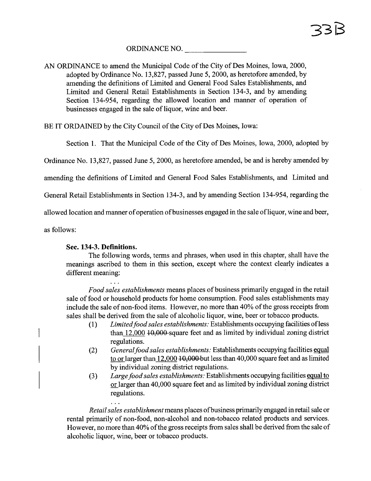ORDINANCE NO.

AN ORDINANCE to amend the Municipal Code of the City of Des Moines, Iowa, 2000, adopted by Ordinance No. 13,827, passed June 5, 2000, as heretofore amended, by amending the definitions of Limited and General Food Sales Establishments, and Limited and General Retail Establishments in Section 134-3, and by amending Section 134-954, regarding the allowed location and manner of operation of businesses engaged in the sale of liquor, wine and beer.

BE IT ORDAINED by the City Council of the City of Des Moines, Iowa:

Section 1. That the Municipal Code of the City of Des Moines, Iowa, 2000, adopted by

Ordinance No. 13,827, passed June 5, 2000, as heretofore amended, be and is hereby amended by

amending the definitions of Limited and General Food Sales Establishments, and Limited and

General Retail Establishments in Section 134-3, and by amending Section 134-954, regarding the

allowed location and manner of operation of businesses engaged in the sale of liquor, wine and beer,

as follows:

## Sec. 134-3. Defmitions.

 $\ddotsc$ 

The following words, terms and phrases, when used in this chapter, shall have the meanings ascribed to them in this section, except where the context clearly indicates a different meaning:

Food sales establishments means places of business primarly engaged in the retail sale of food or household products for home consumption. Food sales establishments may include the sale of non-food items. However, no more than 40% of the gross receipts from sales shall be derived from the sale of alcoholic liquor, wine, beer or tobacco products.

- (1) Limited food sales establishments: Establishments occupying facilities of less than  $12,000$   $10,000$ -square feet and as limited by individual zoning district regulations.
- (2) General food sales establishments: Establishments occupying facilities equal to or larger than 12,000 10,000 but less than 40,000 square feet and as limited by individual zoning district regulations.
- (3) Large food sales establishments: Establishments occupying facilities equal to or larger than 40,000 square feet and as limited by individual zoning district regulations.

Retail sales establishment means places of business primarly engaged in retail sale or rental primarily of non-food, non-alcohol and non-tobacco related products and services. However, no more than 40% of the gross receipts from sales shall be derived from the sale of alcoholic liquor, wine, beer or tobacco products.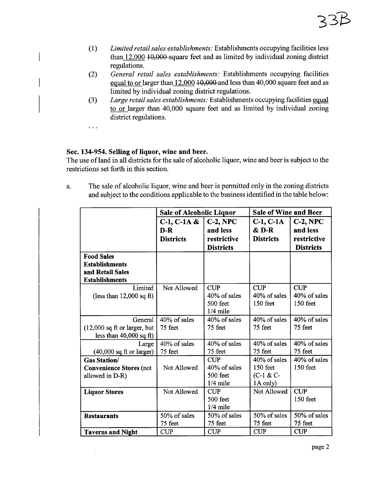- (1) Limited retail sales establishments: Establishments occupying facilities less than 12,000 10,000-square feet and as limited by individual zoning district regulations.
- (2) General retail sales establishments: Establishments occupying facilities equal to or larger than 12,000 10,000 and less than 40,000 square feet and as limited by individual zoning district regulations.
- (3) Large retail sales establishments: Establishments occupying facilities equal to or larger than 40,000 square feet and as limited by individual zoning district regulations.

 $\ddotsc$ 

 $\overline{\phantom{a}}$ 

## Sec. 134-954. Selling of liquor, wine and beer.

The use of land in all districts for the sale of alcoholic liquor, wine and beer is subject to the restrictions set forth in this section.

a. The sale of alcoholic liquor, wine and beer is permitted only in the zoning districts and subject to the conditions applicable to the business identified in the table below:

|                                                                                         | <b>Sale of Alcoholic Liquor</b> |                                                      | <b>Sale of Wine and Beer</b>                       |                                        |  |
|-----------------------------------------------------------------------------------------|---------------------------------|------------------------------------------------------|----------------------------------------------------|----------------------------------------|--|
|                                                                                         | $C-1, C-1A &$                   | $C-2$ , NPC                                          | $C-1$ , $C-1$ A                                    | $C-2, NPC$                             |  |
|                                                                                         | $D-R$                           | and less                                             | $&$ D-R                                            | and less                               |  |
|                                                                                         | <b>Districts</b>                | restrictive                                          | <b>Districts</b>                                   | restrictive                            |  |
|                                                                                         |                                 | <b>Districts</b>                                     |                                                    | <b>Districts</b>                       |  |
| <b>Food Sales</b><br><b>Establishments</b><br>and Retail Sales<br><b>Establishments</b> |                                 |                                                      |                                                    |                                        |  |
| Limited<br>(less than $12,000$ sq ft)                                                   | Not Allowed                     | <b>CUP</b><br>40% of sales<br>500 feet<br>$1/4$ mile | <b>CUP</b><br>40% of sales<br>$150$ feet           | <b>CUP</b><br>40% of sales<br>150 feet |  |
| General<br>$(12,000 \text{ sq ft or larger, but})$<br>less than $40,000$ sq ft)         | 40% of sales<br>75 feet         | 40% of sales<br>75 feet                              | 40% of sales<br>75 feet                            | 40% of sales<br>75 feet                |  |
| Large<br>$(40,000$ sq ft or larger)                                                     | 40% of sales<br>75 feet         | 40% of sales<br>75 feet                              | 40% of sales<br>75 feet                            | 40% of sales<br>75 feet                |  |
| <b>Gas Station/</b><br><b>Convenience Stores (not</b><br>allowed in D-R)                | Not Allowed                     | <b>CUP</b><br>40% of sales<br>500 feet<br>$1/4$ mile | 40% of sales<br>150 feet<br>$(C-1 & C$<br>1A only) | 40% of sales<br>150 feet               |  |
| <b>Liquor Stores</b>                                                                    | Not Allowed                     | <b>CUP</b><br>500 feet<br>$1/4$ mile                 | Not Allowed                                        | <b>CUP</b><br>150 feet                 |  |
| <b>Restaurants</b>                                                                      | 50% of sales<br>75 feet         | 50% of sales<br>75 feet                              | 50% of sales<br>75 feet                            | 50% of sales<br>75 feet                |  |
| <b>Taverns and Night</b>                                                                | <b>CUP</b>                      | <b>CUP</b>                                           | <b>CUP</b>                                         | <b>CUP</b>                             |  |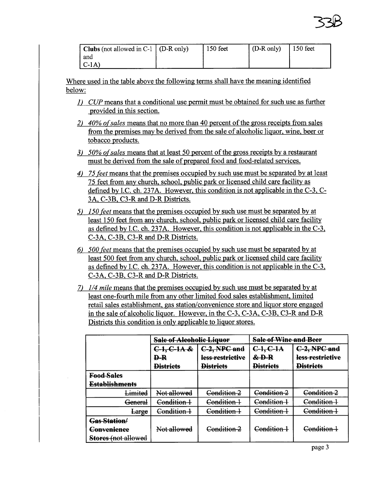| <b>Clubs</b> (not allowed in C-1 $($ D-R only) | 150 feet | $(D-R \text{ only})$ | $\vert$ 150 feet |
|------------------------------------------------|----------|----------------------|------------------|
| and                                            |          |                      |                  |
| $ C-1A\rangle$                                 |          |                      |                  |

Where used in the table above the following terms shall have the meaning identified below:

- 1) CUP means that a conditional use permit must be obtained for such use as further provided in this section.
- 2) 40% of sales means that no more than 40 percent of the gross receipts from sales from the premises may be derived from the sale of alcoholic liquor, wine, beer or tobacco products.
- 3) 50% of sales means that at least 50 percent of the gross receipts by a restaurant must be derived from the sale of prepared food and food-related services.
- 4) 75 feet means that the premises occupied by such use must be separated by at least 75 feet from any church, school, public park or licensed child care facility as defined by I.C. ch. 237A. However, this condition is not applicable in the C-3, C-3A, C-3B. C3-R and D-R Districts.
- 5) 150 feet means that the premises occupied by such use must be separated by at least 150 feet from any church, school, public park or licensed child care facility as defined by I.C. ch. 237A. However, this condition is not applicable in the C-3, C-3A. C-3B. C3-R and D-R Districts.
- 6) 500 feet means that the premises occupied by such use must be separated by at least 500 feet from any church, school, public park or licensed child care facility as defined by I.C. ch. 237A. However, this condition is not applicable in the C-3, C-3A, C-3B, C3-R and D-R Districts.
- 7) 1/4 mile means that the premises occupied by such use must be separated by at least one-fourth mile from any other limited food sales establishment, limited retail sales establishment, gas station/convenience store and liquor store engaged in the sale of alcoholic liquor. However, in the C-3. C-3A. C-3B. C3-R and D-R Districts this condition is only applicable to liquor stores.

|                       | <b>Sale of Alcoholic Liquor</b> |                  | <b>Sale of Wine and Beer</b> |                  |  |
|-----------------------|---------------------------------|------------------|------------------------------|------------------|--|
|                       | $C-1, C-1A &$                   | C-2, NPC and     | $C-1$ , $C-1$ A              | C-2, NPC and     |  |
|                       | $\mathbf{P}$                    | less restrictive | $&D-R$                       | less restrictive |  |
|                       | <b>Districts</b>                | <b>Districts</b> | <b>Districts</b>             | <b>Districts</b> |  |
| <b>Food Sales</b>     |                                 |                  |                              |                  |  |
| <b>Establishments</b> |                                 |                  |                              |                  |  |
| <del>Limited</del>    | Not allowed                     | Condition 2      | Condition 2                  | Condition 2      |  |
| <del>General</del>    | Condition 1                     | Condition 1      | Condition 1                  | Condition 1      |  |
| Large                 | Condition 1                     | Condition 1      | Condition 1                  | Condition 1      |  |
| Gas Station/          |                                 |                  |                              |                  |  |
| Convenience           | Not allowed                     | Condition 2      | Condition 1                  | Condition        |  |
| Stores (not allowed   |                                 |                  |                              |                  |  |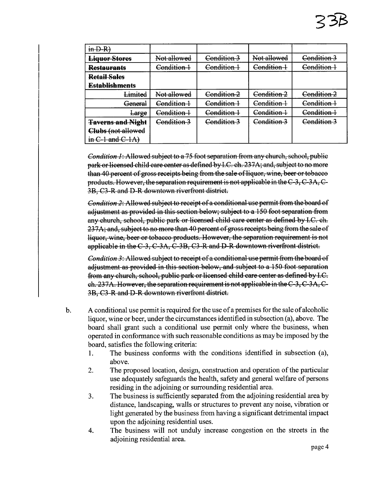| $in D-R$                 |             |                        |             |             |
|--------------------------|-------------|------------------------|-------------|-------------|
| <b>Liquor Stores</b>     | Not allowed | Condition 3            | Not allowed | Condition 3 |
| <b>Restaurants</b>       | Condition 1 | <del>Condition 1</del> | Condition 1 | Condition 1 |
| <b>Retail Sales</b>      |             |                        |             |             |
| <b>Establishments</b>    |             |                        |             |             |
| Limited                  | Not allowed | Condition 2            | Condition 2 | Condition 2 |
| <del>General</del>       | Condition 1 | Condition 1            | Condition 1 | Condition 1 |
| Large                    | Condition 1 | Condition 1            | Condition 1 | Condition 1 |
| <b>Taverns and Night</b> | Condition 3 | Condition 3            | Condition 3 | Condition 3 |
| Clubs (not allowed       |             |                        |             |             |
| in $C$ -1 and $C$ -1A)   |             |                        |             |             |

Condition 1: Allowed subject to a 75 foot separation from any church, school, public park or licensed child care center as defined by I.C. ch. 237A; and, subject to no more than 40 percent of gross receipts being from the sale of liquor, wine, beer or tobacco products. However, the separation requirement is not applicable in the  $C-3$ ,  $C-3A$ ,  $C-$ 3B, C3-R and D-R downtown riverfront district.

*Condition 2*: Allowed subject to receipt of a conditional use permit from the board of adjustment as provided in this section below; subject to a 150 foot separation from any church, school, public park or licensed child care center as defined by LC. ch. 237A; and, subject to no more than 40 percent of gross receipts being from the sale of liquor, wine, beer or tobacco products. However, the separation requirement is not applicable in the  $C-3$ ,  $C-3A$ ,  $C-3B$ ,  $C3-R$  and D-R downtown riverfront district.

*Condition 3:* Allowed subject to receipt of a conditional use permit from the board of adjustment as provided in this section below, and subject to a 150 foot separation from any church, school, public park or licensed child care center as defined by LC.  $ch. 237A.$  However, the separation requirement is not applicable in the  $C-3$ ,  $C-3A$ ,  $C-$ 3B, C3-R and D-R downtown riverfront district.

- b. A conditional use permit is required for the use of a premises for the sale of alcoholic liquor, wine or beer, under the circumstances identified in subsection (a), above. The board shall grant such a conditional use permit only where the business, when operated in conformance with such reasonable conditions as may be imposed by the board, satisfies the following criteria:
	- 1. The business conforms with the conditions identified in subsection (a), above.
	- 2. The proposed location, design, construction and operation of the particular use adequately safeguards the health, safety and general welfare of persons residing in the adjoining or surrounding residential area.
	- 3. The business is sufficiently separated from the adjoining residential area by distance, landscaping, walls or structures to prevent any noise, vibration or light generated by the business from having a significant detrimental impact upon the adjoining residential uses.
	- 4. The business wil not unduly increase congestion on the streets in the adjoining residential area.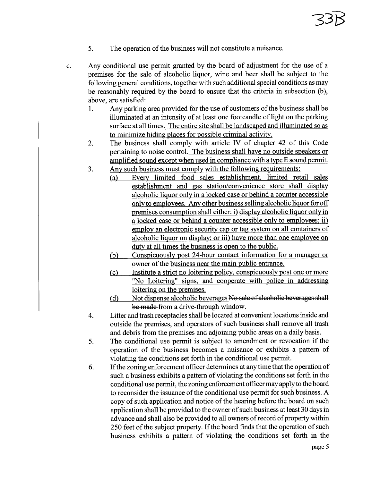- 5. The operation of the business wil not constitute a nuisance.
- c. Any conditional use permit granted by the board of adjustment for the use of a premises for the sale of alcoholic liquor, wine and beer shall be subject to the following general conditions, together with such additional special conditions as may be reasonably required by the board to ensure that the criteria in subsection (b), above, are satisfied:
	- 1. Any parking area provided for the use of customers of the business shall be iluminated at an intensity of at least one footcandle of light on the parking surface at all times. The entire site shall be landscaped and illuminated so as to minimize hiding places for possible criminal activity.
	- 2. The business shall comply with article IV of chapter 42 of this Code pertaining to noise control. The business shall have no outside speakers or amplified sound except when used in compliance with a type E sound permit.
	- 3. Any such business must comply with the following requirements:
		- (a) Every limited food sales establishment. limited retail sales establishment and gas station/convenience store shall display alcoholic liquor only in a locked case or behind a counter accessible only to employees. Any other business sellng alcoholic liquor for off premises consumption shall either: i) display alcoholic liquor only in a locked case or behind a counter accessible only to employees; ii) employ an electronic security cap or tag system on all containers of alcoholic liquor on display; or iii) have more than one employee on duty at all times the business is open to the public.
		- (b) Conspicuously post 24-hour contact information for a manager or owner of the business near the main public entrance.
		- ( c) Institute a strict no loitering policy. conspicuously post one or more "No Loitering" signs. and cooperate with police in addressing loitering on the premises.
		- (d) Not dispense alcoholic beverages No sale of alcoholic beverages shall be made from a drive-through window.
	- 4. Litter and trash receptacles shall be located at convenient locations inside and outside the premises, and operators of such business shall remove all trash and debris from the premises and adjoining public areas on a daily basis.
	- 5. The conditional use permit is subject to amendment or revocation if the operation of the business becomes a nuisance or exhibits a pattern of violating the conditions set forth in the conditional use permit.
	- 6. If the zoning enforcement officer determines at any time that the operation of such a business exhibits a pattern of violating the conditions set forth in the conditional use permit, the zoning enforcement officer may apply to the board to reconsider the issuance of the conditional use permit for such business. A copy of such application and notice of the hearng before the board on such application shall be provided to the owner of such business at least 30 days in advance and shall also be provided to all owners of record of property within 250 feet of the subject property. If the board finds that the operation of such business exhibits a pattern of violating the conditions set forth in the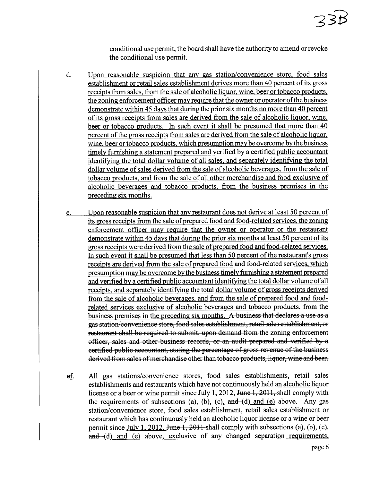## 235

conditional use permit, the board shall have the authority to amend or revoke the conditional use permit.

- d. Upon reasonable suspicion that any gas station/convenience store. food sales establishment or retail sales establishment derives more than 40 percent of its gross receipts from sales. from the sale of alcoholic liquor. wine. beer or tobacco products. the zoning enforcement officer may require that the owner or operator of the business demonstrate within 45 days that during the prior six months no more than 40 percent of its gross receipts from sales are derived from the sale of alcoholic liquor. wine. beer or tobacco products. In such event it shall be presumed that more than 40 percent of the gross receipts from sales are derived from the sale of alcoholic liquor. wine, beer or tobacco products, which presumption may be overcome by the business timely furnishing a statement prepared and verified by a certified public accountant identifyng the total dollar volume of all sales. and separately identifyng the total dollar volume of sales derived from the sale of alcoholic beverages. from the sale of tobacco products. and from the sale of all other merchandise and food exclusive of alcoholic beverages and tobacco products. from the business premises in the preceding six months.
- e. Upon reasonable suspicion that any restaurant does not derive at least 50 percent of its gross receipts from the sale of prepared food and food-related services, the zoning enforcement officer may require that the owner or operator or the restaurant demonstrate within 45 days that during the prior six months at least 50 percent of its gross receipts were derived from the sale of prepared food and food-related services. In such event it shall be presumed that less than 50 percent of the restaurant's gross receipts are derived from the sale of prepared food and food-related services. which presumption may be overcome by the business timely furnshing a statement prepared and verified by a certified public accountant identifyng the total dollar volume of all receipts. and separately identifyng the total dollar volume of gross receipts derived from the sale of alcoholic beverages. and from the sale of prepared food and foodrelated services exclusive of alcoholic beverages and tobacco products. from the business premises in the preceding six months. A business that declares a use as a gas station/convenience store, food sales establishment, retail sales establishment, or restaurant shall be required to submit, upon demand from the zoning enforcement offieer, sales and other business records, or an audit prepared and verfied by a certified public accountant, stating the percentage of gross revenue of the business derived from sales of merchandise other than tobacco products, liquor, wine and beer.
- ef. All gas stations/convenience stores, food sales establishments, retail sales establishments and restaurants which have not continuously held an alcoholic liquor license or a beer or wine permit since July 1, 2012, June 1, 2011, shall comply with the requirements of subsections (a), (b), (c),  $\theta$  and (d) and (e) above. Any gas station/convenience store, food sales establishment, retail sales establishment or restaurant which has continuously held an alcoholic liquor license or a wine or beer permit since July 1, 2012, <del>June 1, 2011</del>-shall comply with subsections (a), (b), (c),  $and$   $-(d)$  and  $(e)$  above, exclusive of any changed separation requirements,